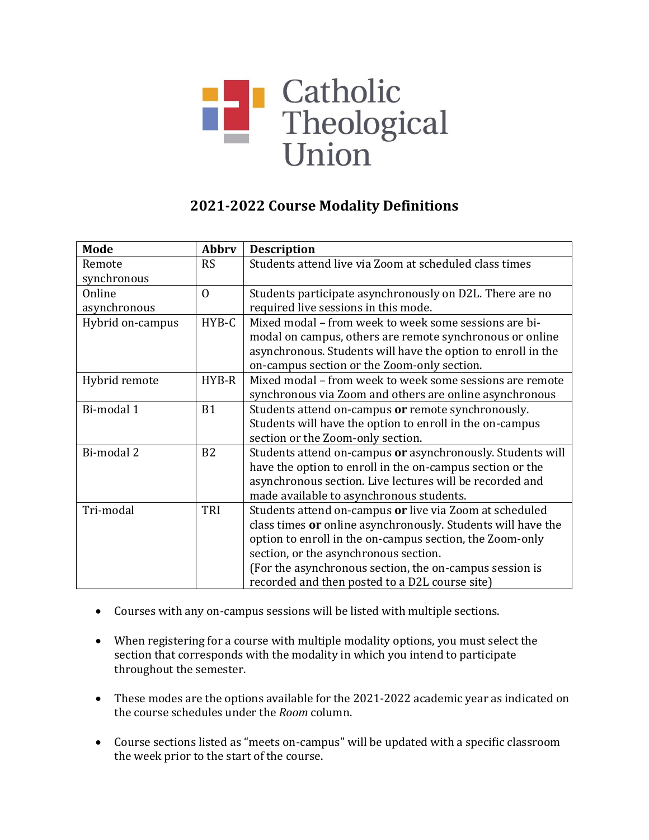# **Exercise 18**<br>Theological<br>Union

# **2021-2022 Course Modality Definitions**

| <b>Mode</b>      | Abbrv          | <b>Description</b>                                           |
|------------------|----------------|--------------------------------------------------------------|
| Remote           | <b>RS</b>      | Students attend live via Zoom at scheduled class times       |
| synchronous      |                |                                                              |
| Online           | $\Omega$       | Students participate asynchronously on D2L. There are no     |
| asynchronous     |                | required live sessions in this mode.                         |
| Hybrid on-campus | HYB-C          | Mixed modal – from week to week some sessions are bi-        |
|                  |                | modal on campus, others are remote synchronous or online     |
|                  |                | asynchronous. Students will have the option to enroll in the |
|                  |                | on-campus section or the Zoom-only section.                  |
| Hybrid remote    | HYB-R          | Mixed modal – from week to week some sessions are remote     |
|                  |                | synchronous via Zoom and others are online asynchronous      |
| Bi-modal 1       | B1             | Students attend on-campus or remote synchronously.           |
|                  |                | Students will have the option to enroll in the on-campus     |
|                  |                | section or the Zoom-only section.                            |
| Bi-modal 2       | B <sub>2</sub> | Students attend on-campus or asynchronously. Students will   |
|                  |                | have the option to enroll in the on-campus section or the    |
|                  |                | asynchronous section. Live lectures will be recorded and     |
|                  |                | made available to asynchronous students.                     |
| Tri-modal        | TRI            | Students attend on-campus or live via Zoom at scheduled      |
|                  |                | class times or online asynchronously. Students will have the |
|                  |                | option to enroll in the on-campus section, the Zoom-only     |
|                  |                | section, or the asynchronous section.                        |
|                  |                | (For the asynchronous section, the on-campus session is      |
|                  |                | recorded and then posted to a D2L course site)               |

- Courses with any on-campus sessions will be listed with multiple sections.
- When registering for a course with multiple modality options, you must select the section that corresponds with the modality in which you intend to participate throughout the semester.
- These modes are the options available for the 2021-2022 academic year as indicated on the course schedules under the *Room* column.
- Course sections listed as "meets on-campus" will be updated with a specific classroom the week prior to the start of the course.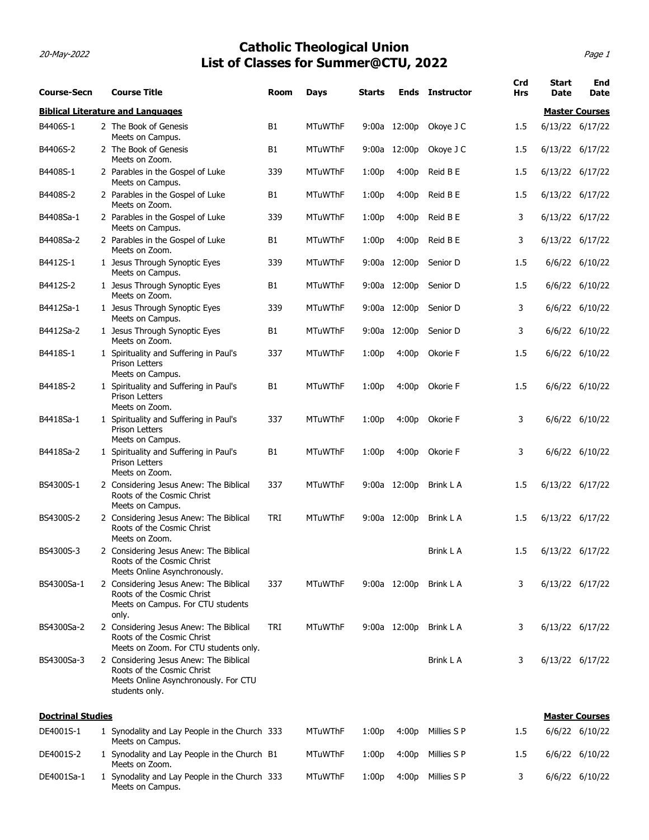### 20-May-2022 Page 1 Catholic Theological Union List of Classes for Summer@CTU, 2022

|                          |                                                                                                                                | List of Classes for Summer@CTU, 2022          |                | <b>Catholic Theological Union</b> |        |              |                        |                   |                      | Page 1                |
|--------------------------|--------------------------------------------------------------------------------------------------------------------------------|-----------------------------------------------|----------------|-----------------------------------|--------|--------------|------------------------|-------------------|----------------------|-----------------------|
| <b>Course-Secn</b>       | <b>Course Title</b>                                                                                                            |                                               | Room           | Days                              | Starts |              | <b>Ends</b> Instructor | Crd<br><b>Hrs</b> | <b>Start</b><br>Date | <b>End</b><br>Date    |
|                          | <b>Biblical Literature and Languages</b>                                                                                       |                                               |                |                                   |        |              |                        |                   |                      | <b>Master Courses</b> |
| B4406S-1                 | 2 The Book of Genesis<br>Meets on Campus.                                                                                      |                                               | <b>B1</b>      | <b>MTuWThF</b>                    | 9:00a  | 12:00p       | Okoye J C              | 1.5               |                      | 6/13/22 6/17/22       |
| B4406S-2                 | 2 The Book of Genesis                                                                                                          |                                               | <b>B1</b>      | <b>MTuWThF</b>                    | 9:00a  | 12:00p       | Okoye J C              | 1.5               |                      | 6/13/22 6/17/22       |
| B4408S-1                 | Meets on Zoom.<br>2 Parables in the Gospel of Luke                                                                             |                                               | 339            | <b>MTuWThF</b>                    | 1:00p  | 4:00p        | Reid B E               | 1.5               |                      | 6/13/22 6/17/22       |
| B4408S-2                 | Meets on Campus.<br>2 Parables in the Gospel of Luke                                                                           |                                               | B1             | <b>MTuWThF</b>                    | 1:00p  | 4:00p        | Reid B E               | 1.5               | 6/13/22 6/17/22      |                       |
| B4408Sa-1                | Meets on Zoom.<br>2 Parables in the Gospel of Luke                                                                             |                                               | 339            | <b>MTuWThF</b>                    | 1:00p  | 4:00p        | Reid B E               | 3                 |                      | 6/13/22 6/17/22       |
| B4408Sa-2                | Meets on Campus.<br>2 Parables in the Gospel of Luke                                                                           |                                               | <b>B1</b>      | <b>MTuWThF</b>                    | 1:00p  | 4:00p        | Reid B E               | 3                 |                      | 6/13/22 6/17/22       |
| B4412S-1                 | Meets on Zoom.<br>1 Jesus Through Synoptic Eyes                                                                                |                                               | 339            | <b>MTuWThF</b>                    |        | 9:00a 12:00p | Senior D               | 1.5               |                      | 6/6/22 6/10/22        |
|                          | Meets on Campus.                                                                                                               |                                               |                |                                   |        |              |                        |                   |                      |                       |
| B4412S-2                 | 1 Jesus Through Synoptic Eyes<br>Meets on Zoom.                                                                                |                                               | B1             | <b>MTuWThF</b>                    |        |              | 9:00a 12:00p Senior D  | 1.5               |                      | 6/6/22 6/10/22        |
| B4412Sa-1                | 1 Jesus Through Synoptic Eyes<br>Meets on Campus.                                                                              |                                               | 339            | <b>MTuWThF</b>                    |        |              | 9:00a 12:00p Senior D  | 3                 |                      | 6/6/22 6/10/22        |
| B4412Sa-2                | 1 Jesus Through Synoptic Eyes<br>Meets on Zoom.                                                                                |                                               | B1             | <b>MTuWThF</b>                    |        |              | 9:00a 12:00p Senior D  | 3                 |                      | 6/6/22 6/10/22        |
| B4418S-1                 | 1 Spirituality and Suffering in Paul's<br>Prison Letters<br>Meets on Campus.                                                   |                                               | 337            | <b>MTuWThF</b>                    | 1:00p  | 4:00p        | Okorie F               | 1.5               |                      | 6/6/22 6/10/22        |
| B4418S-2                 | 1 Spirituality and Suffering in Paul's<br>Prison Letters<br>Meets on Zoom.                                                     |                                               | <b>B1</b>      | <b>MTuWThF</b>                    | 1:00p  |              | 4:00p Okorie F         | 1.5               |                      | 6/6/22 6/10/22        |
| B4418Sa-1                | 1 Spirituality and Suffering in Paul's<br>Prison Letters<br>Meets on Campus.                                                   |                                               | 337            | <b>MTuWThF</b>                    | 1:00p  |              | 4:00p Okorie F         | 3                 |                      | 6/6/22 6/10/22        |
| B4418Sa-2                | 1 Spirituality and Suffering in Paul's<br>Prison Letters<br>Meets on Zoom.                                                     |                                               | B <sub>1</sub> | <b>MTuWThF</b>                    | 1:00p  |              | 4:00p Okorie F         | 3                 |                      | 6/6/22 6/10/22        |
| BS4300S-1                | 2 Considering Jesus Anew: The Biblical<br>Roots of the Cosmic Christ<br>Meets on Campus.                                       |                                               | 337            | <b>MTuWThF</b>                    |        | 9:00a 12:00p | Brink L A              | 1.5               | 6/13/22 6/17/22      |                       |
| BS4300S-2                | 2 Considering Jesus Anew: The Biblical<br>Roots of the Cosmic Christ<br>Meets on Zoom.                                         |                                               | TRI            | <b>MTuWThF</b>                    |        | 9:00a 12:00p | Brink L A              | 1.5               | 6/13/22 6/17/22      |                       |
| BS4300S-3                | 2 Considering Jesus Anew: The Biblical<br>Roots of the Cosmic Christ<br>Meets Online Asynchronously.                           |                                               |                |                                   |        |              | Brink L A              | 1.5               | 6/13/22 6/17/22      |                       |
| BS4300Sa-1               | 2 Considering Jesus Anew: The Biblical<br>Roots of the Cosmic Christ<br>Meets on Campus. For CTU students                      |                                               | 337            | <b>MTuWThF</b>                    |        | 9:00a 12:00p | Brink L A              | 3                 | 6/13/22 6/17/22      |                       |
| BS4300Sa-2               | only.<br>2 Considering Jesus Anew: The Biblical<br>Roots of the Cosmic Christ<br>Meets on Zoom. For CTU students only.         |                                               | TRI            | <b>MTuWThF</b>                    |        | 9:00a 12:00p | Brink L A              | 3                 | 6/13/22 6/17/22      |                       |
| BS4300Sa-3               | 2 Considering Jesus Anew: The Biblical<br>Roots of the Cosmic Christ<br>Meets Online Asynchronously. For CTU<br>students only. |                                               |                |                                   |        |              | Brink L A              | 3                 | 6/13/22 6/17/22      |                       |
| <b>Doctrinal Studies</b> |                                                                                                                                |                                               |                |                                   |        |              |                        |                   |                      | <b>Master Courses</b> |
| DE4001S-1                | 1 Synodality and Lay People in the Church 333                                                                                  |                                               |                | <b>MTuWThF</b>                    | 1:00p  | 4:00p        | Millies S P            | 1.5               |                      | 6/6/22 6/10/22        |
| DE4001S-2                | Meets on Campus.<br>1 Synodality and Lay People in the Church B1                                                               |                                               |                | <b>MTuWThF</b>                    | 1:00p  |              | 4:00p Millies S P      | 1.5               |                      | 6/6/22 6/10/22        |
|                          | Meets on Zoom.                                                                                                                 | 1 Synodality and Lay People in the Church 333 |                | <b>MTuWThF</b>                    | 1:00p  |              | 4:00p Millies S P      | 3                 |                      | 6/6/22 6/10/22        |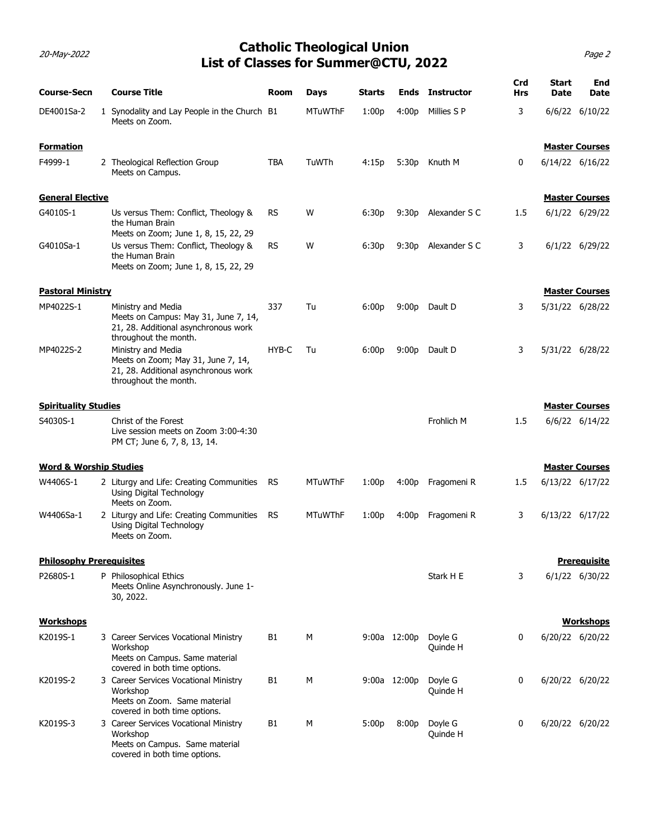### 20-May-2022 Page 2 Catholic Theological Union List of Classes for Summer@CTU, 2022

| 20-May-2022                       | List of Classes for Summer@CTU, 2022                                                                                                                  |            | <b>Catholic Theological Union</b> |        |                   |                        |                   |                       | Page 2              |
|-----------------------------------|-------------------------------------------------------------------------------------------------------------------------------------------------------|------------|-----------------------------------|--------|-------------------|------------------------|-------------------|-----------------------|---------------------|
| <b>Course-Secn</b>                | <b>Course Title</b>                                                                                                                                   | Room       | Days                              | Starts |                   | <b>Ends</b> Instructor | Crd<br><b>Hrs</b> | <b>Start</b><br>Date  | <b>End</b><br>Date  |
| DE4001Sa-2                        | Synodality and Lay People in the Church B1<br>Meets on Zoom.                                                                                          |            | <b>MTuWThF</b>                    | 1:00p  | 4:00p             | Millies S P            | 3                 | 6/6/22 6/10/22        |                     |
| <b>Formation</b>                  |                                                                                                                                                       |            |                                   |        |                   |                        |                   | <b>Master Courses</b> |                     |
| F4999-1                           | 2 Theological Reflection Group<br>Meets on Campus.                                                                                                    | <b>TBA</b> | TuWTh                             | 4:15p  | 5:30 <sub>p</sub> | Knuth M                | 0                 | 6/14/22 6/16/22       |                     |
| <b>General Elective</b>           |                                                                                                                                                       |            |                                   |        |                   |                        |                   | <b>Master Courses</b> |                     |
| G4010S-1                          | Us versus Them: Conflict, Theology &<br>the Human Brain<br>Meets on Zoom; June 1, 8, 15, 22, 29                                                       | RS         | W                                 | 6:30p  | 9:30p             | Alexander S C          | 1.5               | 6/1/22 6/29/22        |                     |
| G4010Sa-1                         | Us versus Them: Conflict, Theology &<br>the Human Brain<br>Meets on Zoom; June 1, 8, 15, 22, 29                                                       | RS         | W                                 | 6:30p  | 9:30p             | Alexander S C          | 3                 | 6/1/22 6/29/22        |                     |
| <b>Pastoral Ministry</b>          |                                                                                                                                                       |            |                                   |        |                   |                        |                   | <b>Master Courses</b> |                     |
| MP4022S-1                         | Ministry and Media<br>Meets on Campus: May 31, June 7, 14,<br>21, 28. Additional asynchronous work<br>throughout the month.                           | 337        | Tu                                | 6:00p  |                   | 9:00p Dault D          | 3                 | 5/31/22 6/28/22       |                     |
| MP4022S-2                         | Ministry and Media<br>Meets on Zoom; May 31, June 7, 14,<br>21, 28. Additional asynchronous work<br>throughout the month.                             | HYB-C      | Tu                                | 6:00p  |                   | 9:00p Dault D          | 3                 | 5/31/22 6/28/22       |                     |
| <b>Spirituality Studies</b>       |                                                                                                                                                       |            |                                   |        |                   |                        |                   | <b>Master Courses</b> |                     |
| S4030S-1                          | Christ of the Forest<br>Live session meets on Zoom 3:00-4:30<br>PM CT; June 6, 7, 8, 13, 14.                                                          |            |                                   |        |                   | Frohlich M             | 1.5               | 6/6/22 6/14/22        |                     |
| <b>Word &amp; Worship Studies</b> |                                                                                                                                                       |            |                                   |        |                   |                        |                   | <b>Master Courses</b> |                     |
| W4406S-1                          | 2 Liturgy and Life: Creating Communities RS<br>Using Digital Technology<br>Meets on Zoom.                                                             |            | <b>MTuWThF</b>                    | 1:00p  |                   | 4:00p Fragomeni R      | 1.5               | 6/13/22 6/17/22       |                     |
| W4406Sa-1                         | 2 Liturgy and Life: Creating Communities RS<br>Using Digital Technology<br>Meets on Zoom.                                                             |            | <b>MTuWThF</b>                    | 1:00p  | 4:00p             | Fragomeni R            | 3                 | 6/13/22 6/17/22       |                     |
| <b>Philosophy Prerequisites</b>   |                                                                                                                                                       |            |                                   |        |                   |                        |                   |                       | <b>Prerequisite</b> |
| P2680S-1                          | P Philosophical Ethics<br>Meets Online Asynchronously. June 1-<br>30, 2022.                                                                           |            |                                   |        |                   | Stark H E              | 3                 | 6/1/22 6/30/22        |                     |
| <b>Workshops</b>                  |                                                                                                                                                       |            |                                   |        |                   |                        |                   |                       | <b>Workshops</b>    |
| K2019S-1                          | 3 Career Services Vocational Ministry<br>Workshop<br>Meets on Campus. Same material<br>covered in both time options.                                  | <b>B1</b>  | M                                 |        | 9:00a 12:00p      | Doyle G<br>Quinde H    | 0                 | 6/20/22 6/20/22       |                     |
| K2019S-2                          | 3 Career Services Vocational Ministry<br>Workshop<br>Meets on Zoom. Same material                                                                     | <b>B1</b>  | M                                 |        | 9:00a 12:00p      | Doyle G<br>Quinde H    | 0                 | 6/20/22 6/20/22       |                     |
| K2019S-3                          | covered in both time options.<br>3 Career Services Vocational Ministry<br>Workshop<br>Meets on Campus. Same material<br>covered in both time options. | <b>B1</b>  | M                                 | 5:00p  | 8:00p             | Doyle G<br>Quinde H    | 0                 | 6/20/22 6/20/22       |                     |